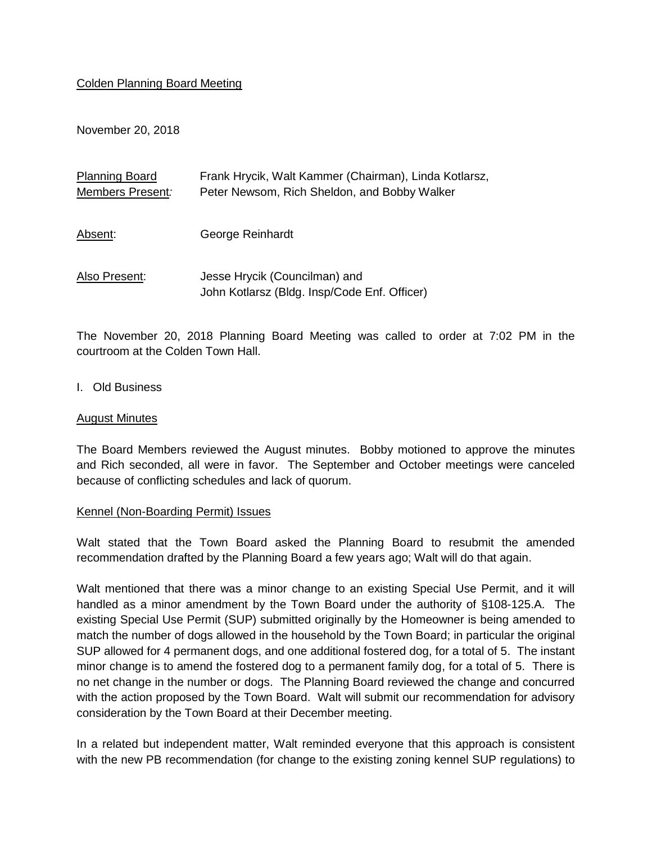## Colden Planning Board Meeting

November 20, 2018

| <b>Planning Board</b> | Frank Hrycik, Walt Kammer (Chairman), Linda Kotlarsz, |
|-----------------------|-------------------------------------------------------|
| Members Present:      | Peter Newsom, Rich Sheldon, and Bobby Walker          |
|                       |                                                       |
| Absent:               | George Reinhardt                                      |
|                       |                                                       |
| Also Present:         | Jesse Hrycik (Councilman) and                         |
|                       |                                                       |
|                       | John Kotlarsz (Bldg. Insp/Code Enf. Officer)          |

The November 20, 2018 Planning Board Meeting was called to order at 7:02 PM in the courtroom at the Colden Town Hall.

## I. Old Business

#### August Minutes

The Board Members reviewed the August minutes. Bobby motioned to approve the minutes and Rich seconded, all were in favor. The September and October meetings were canceled because of conflicting schedules and lack of quorum.

#### Kennel (Non-Boarding Permit) Issues

Walt stated that the Town Board asked the Planning Board to resubmit the amended recommendation drafted by the Planning Board a few years ago; Walt will do that again.

Walt mentioned that there was a minor change to an existing Special Use Permit, and it will handled as a minor amendment by the Town Board under the authority of §108-125.A. The existing Special Use Permit (SUP) submitted originally by the Homeowner is being amended to match the number of dogs allowed in the household by the Town Board; in particular the original SUP allowed for 4 permanent dogs, and one additional fostered dog, for a total of 5. The instant minor change is to amend the fostered dog to a permanent family dog, for a total of 5. There is no net change in the number or dogs. The Planning Board reviewed the change and concurred with the action proposed by the Town Board. Walt will submit our recommendation for advisory consideration by the Town Board at their December meeting.

In a related but independent matter, Walt reminded everyone that this approach is consistent with the new PB recommendation (for change to the existing zoning kennel SUP regulations) to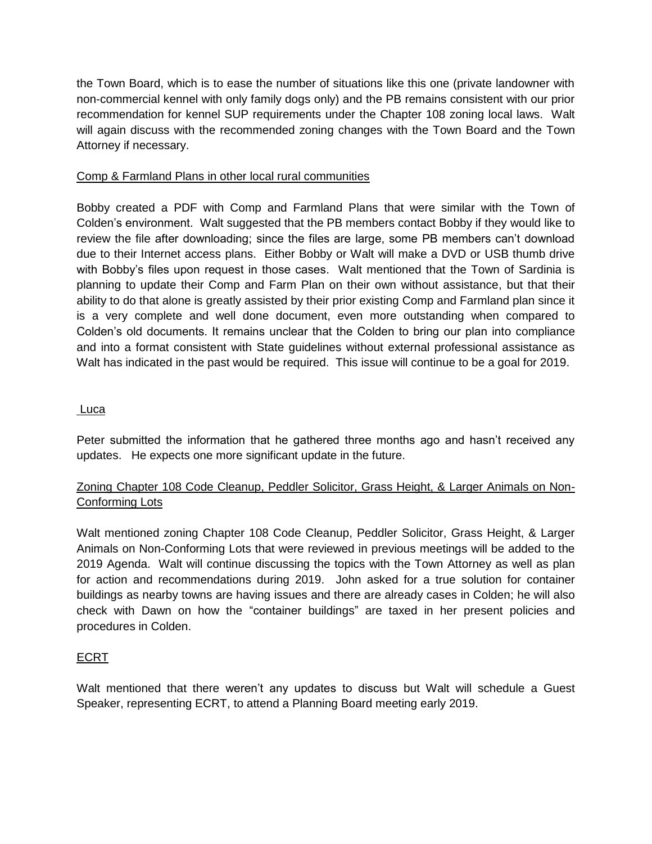the Town Board, which is to ease the number of situations like this one (private landowner with non-commercial kennel with only family dogs only) and the PB remains consistent with our prior recommendation for kennel SUP requirements under the Chapter 108 zoning local laws. Walt will again discuss with the recommended zoning changes with the Town Board and the Town Attorney if necessary.

# Comp & Farmland Plans in other local rural communities

Bobby created a PDF with Comp and Farmland Plans that were similar with the Town of Colden's environment. Walt suggested that the PB members contact Bobby if they would like to review the file after downloading; since the files are large, some PB members can't download due to their Internet access plans. Either Bobby or Walt will make a DVD or USB thumb drive with Bobby's files upon request in those cases. Walt mentioned that the Town of Sardinia is planning to update their Comp and Farm Plan on their own without assistance, but that their ability to do that alone is greatly assisted by their prior existing Comp and Farmland plan since it is a very complete and well done document, even more outstanding when compared to Colden's old documents. It remains unclear that the Colden to bring our plan into compliance and into a format consistent with State guidelines without external professional assistance as Walt has indicated in the past would be required. This issue will continue to be a goal for 2019.

## Luca

Peter submitted the information that he gathered three months ago and hasn't received any updates. He expects one more significant update in the future.

# Zoning Chapter 108 Code Cleanup, Peddler Solicitor, Grass Height, & Larger Animals on Non-Conforming Lots

Walt mentioned zoning Chapter 108 Code Cleanup, Peddler Solicitor, Grass Height, & Larger Animals on Non-Conforming Lots that were reviewed in previous meetings will be added to the 2019 Agenda. Walt will continue discussing the topics with the Town Attorney as well as plan for action and recommendations during 2019. John asked for a true solution for container buildings as nearby towns are having issues and there are already cases in Colden; he will also check with Dawn on how the "container buildings" are taxed in her present policies and procedures in Colden.

# ECRT

Walt mentioned that there weren't any updates to discuss but Walt will schedule a Guest Speaker, representing ECRT, to attend a Planning Board meeting early 2019.